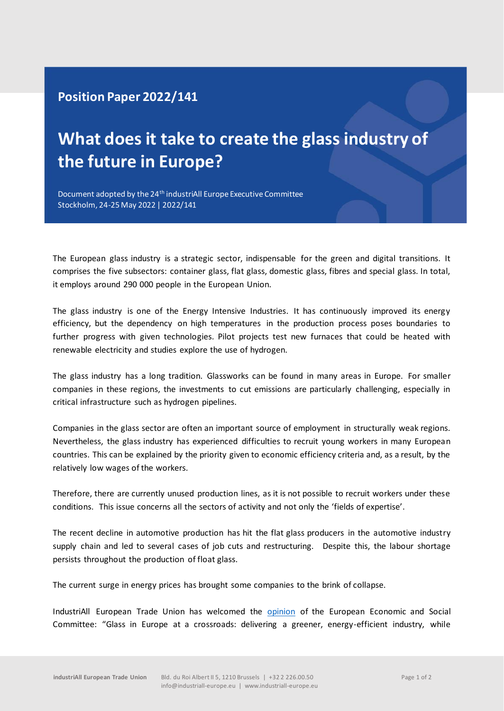## **Position Paper 2022/141**

## **What does it take to create the glass industry of the future in Europe?**

Document adopted by the 24<sup>th</sup> industriAll Europe Executive Committee Stockholm, 24-25 May 2022 | 2022/141

The European glass industry is a strategic sector, indispensable for the green and digital transitions. It comprises the five subsectors: container glass, flat glass, domestic glass, fibres and special glass. In total, it employs around 290 000 people in the European Union.

The glass industry is one of the Energy Intensive Industries. It has continuously improved its energy efficiency, but the dependency on high temperatures in the production process poses boundaries to further progress with given technologies. Pilot projects test new furnaces that could be heated with renewable electricity and studies explore the use of hydrogen.

The glass industry has a long tradition. Glassworks can be found in many areas in Europe. For smaller companies in these regions, the investments to cut emissions are particularly challenging, especially in critical infrastructure such as hydrogen pipelines.

Companies in the glass sector are often an important source of employment in structurally weak regions. Nevertheless, the glass industry has experienced difficulties to recruit young workers in many European countries. This can be explained by the priority given to economic efficiency criteria and, as a result, by the relatively low wages of the workers.

Therefore, there are currently unused production lines, as it is not possible to recruit workers under these conditions. This issue concerns all the sectors of activity and not only the 'fields of expertise'.

The recent decline in automotive production has hit the flat glass producers in the automotive industry supply chain and led to several cases of job cuts and restructuring. Despite this, the labour shortage persists throughout the production of float glass.

The current surge in energy prices has brought some companies to the brink of collapse.

IndustriAll European Trade Union has welcomed the [opinion](https://www.eesc.europa.eu/en/our-work/opinions-information-reports/opinions/glass-europe-crossroads-delivering-greener-energy-efficient-industry-while-enhancing-competitiveness-and-maintaining) of the European Economic and Social Committee: "Glass in Europe at a crossroads: delivering a greener, energy-efficient industry, while